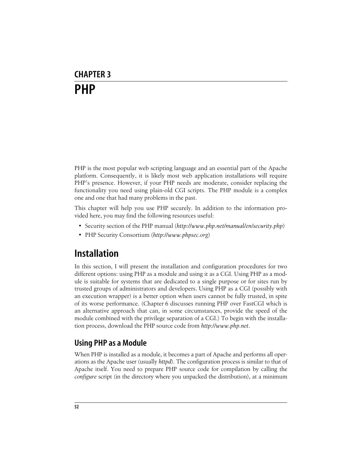# Chapter 3 **CHAPTER 3 PHP**

PHP is the most popular web scripting language and an essential part of the Apache platform. Consequently, it is likely most web application installations will require PHP's presence. However, if your PHP needs are moderate, consider replacing the functionality you need using plain-old CGI scripts. The PHP module is a complex one and one that had many problems in the past.

This chapter will help you use PHP securely. In addition to the information provided here, you may find the following resources useful:

- Security section of the PHP manual (*http://www.php.net/manual/en/security.php*)
- PHP Security Consortium (*http://www.phpsec.org*)

## **Installation**

In this section, I will present the installation and configuration procedures for two different options: using PHP as a module and using it as a CGI. Using PHP as a module is suitable for systems that are dedicated to a single purpose or for sites run by trusted groups of administrators and developers. Using PHP as a CGI (possibly with an execution wrapper) is a better option when users cannot be fully trusted, in spite of its worse performance. (Chapter 6 discusses running PHP over FastCGI which is an alternative approach that can, in some circumstances, provide the speed of the module combined with the privilege separation of a CGI.) To begin with the installation process, download the PHP source code from *http://www.php.net*.

#### **Using PHP as a Module**

When PHP is installed as a module, it becomes a part of Apache and performs all operations as the Apache user (usually *httpd*). The configuration process is similar to that of Apache itself. You need to prepare PHP source code for compilation by calling the *configure* script (in the directory where you unpacked the distribution), at a minimum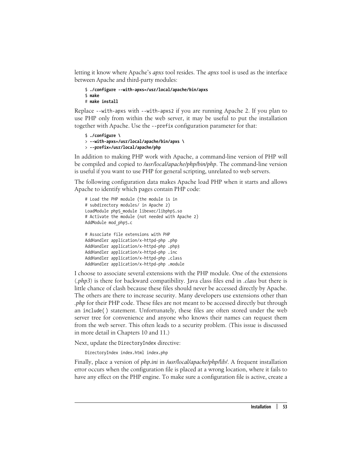letting it know where Apache's *apxs* tool resides. The *apxs* tool is used as the interface between Apache and third-party modules:

```
$ ./configure --with-apxs=/usr/local/apache/bin/apxs
$ make
# make install
```
Replace --with-apxs with --with-apxs2 if you are running Apache 2. If you plan to use PHP only from within the web server, it may be useful to put the installation together with Apache. Use the --prefix configuration parameter for that:

```
$ ./configure \
> --with-apxs=/usr/local/apache/bin/apxs \
> --prefix=/usr/local/apache/php
```
In addition to making PHP work with Apache, a command-line version of PHP will be compiled and copied to */usr/local/apache/php/bin/php*. The command-line version is useful if you want to use PHP for general scripting, unrelated to web servers.

The following configuration data makes Apache load PHP when it starts and allows Apache to identify which pages contain PHP code:

```
# Load the PHP module (the module is in
# subdirectory modules/ in Apache 2)
LoadModule php5_module libexec/libphp5.so
# Activate the module (not needed with Apache 2)
AddModule mod_php5.c
# Associate file extensions with PHP
AddHandler application/x-httpd-php .php
AddHandler application/x-httpd-php .php3
AddHandler application/x-httpd-php .inc
AddHandler application/x-httpd-php .class
AddHandler application/x-httpd-php .module
```
I choose to associate several extensions with the PHP module. One of the extensions (*.php3*) is there for backward compatibility. Java class files end in *.class* but there is little chance of clash because these files should never be accessed directly by Apache. The others are there to increase security. Many developers use extensions other than *.php* for their PHP code. These files are not meant to be accessed directly but through an include( ) statement. Unfortunately, these files are often stored under the web server tree for convenience and anyone who knows their names can request them from the web server. This often leads to a security problem. (This issue is discussed in more detail in Chapters 10 and 11.)

Next, update the DirectoryIndex directive:

DirectoryIndex index.html index.php

Finally, place a version of *php.ini* in */usr/local/apache/php/lib/*. A frequent installation error occurs when the configuration file is placed at a wrong location, where it fails to have any effect on the PHP engine. To make sure a configuration file is active, create a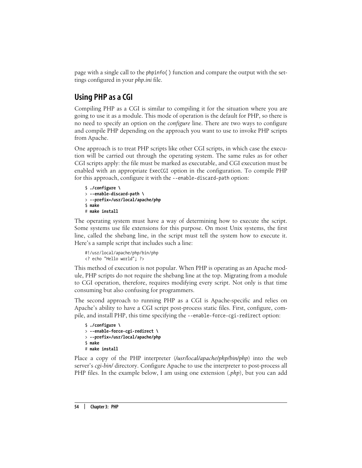page with a single call to the phpinfo( ) function and compare the output with the settings configured in your *php.ini* file.

### **Using PHP as a CGI**

Compiling PHP as a CGI is similar to compiling it for the situation where you are going to use it as a module. This mode of operation is the default for PHP, so there is no need to specify an option on the *configure* line. There are two ways to configure and compile PHP depending on the approach you want to use to invoke PHP scripts from Apache.

One approach is to treat PHP scripts like other CGI scripts, in which case the execution will be carried out through the operating system. The same rules as for other CGI scripts apply: the file must be marked as executable, and CGI execution must be enabled with an appropriate ExecCGI option in the configuration. To compile PHP for this approach, configure it with the --enable-discard-path option:

```
$ ./configure \
> --enable-discard-path \
> --prefix=/usr/local/apache/php
$ make
# make install
```
The operating system must have a way of determining how to execute the script. Some systems use file extensions for this purpose. On most Unix systems, the first line, called the shebang line, in the script must tell the system how to execute it. Here's a sample script that includes such a line:

```
#!/usr/local/apache/php/bin/php
<? echo "Hello world"; ?>
```
This method of execution is not popular. When PHP is operating as an Apache module, PHP scripts do not require the shebang line at the top. Migrating from a module to CGI operation, therefore, requires modifying every script. Not only is that time consuming but also confusing for programmers.

The second approach to running PHP as a CGI is Apache-specific and relies on Apache's ability to have a CGI script post-process static files. First, configure, compile, and install PHP, this time specifying the --enable-force-cgi-redirect option:

```
$ ./configure \
> --enable-force-cgi-redirect \
> --prefix=/usr/local/apache/php
$ make
# make install
```
Place a copy of the PHP interpreter (*/usr/local/apache/php/bin/php*) into the web server's *cgi-bin/* directory. Configure Apache to use the interpreter to post-process all PHP files. In the example below, I am using one extension (*.php*), but you can add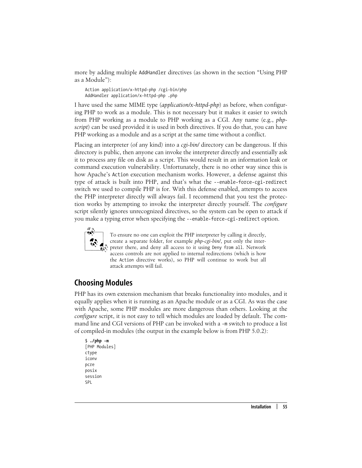more by adding multiple AddHandler directives (as shown in the section "Using PHP as a Module"):

Action application/x-httpd-php /cgi-bin/php AddHandler application/x-httpd-php .php

I have used the same MIME type (*application/x-httpd-php*) as before, when configuring PHP to work as a module. This is not necessary but it makes it easier to switch from PHP working as a module to PHP working as a CGI. Any name (e.g., *phpscript*) can be used provided it is used in both directives. If you do that, you can have PHP working as a module and as a script at the same time without a conflict.

Placing an interpreter (of any kind) into a *cgi-bin/* directory can be dangerous. If this directory is public, then anyone can invoke the interpreter directly and essentially ask it to process any file on disk as a script. This would result in an information leak or command execution vulnerability. Unfortunately, there is no other way since this is how Apache's Action execution mechanism works. However, a defense against this type of attack is built into PHP, and that's what the --enable-force-cgi-redirect switch we used to compile PHP is for. With this defense enabled, attempts to access the PHP interpreter directly will always fail. I recommend that you test the protection works by attempting to invoke the interpreter directly yourself. The *configure* script silently ignores unrecognized directives, so the system can be open to attack if you make a typing error when specifying the --enable-force-cgi-redirect option.



To ensure no one can exploit the PHP interpreter by calling it directly, create a separate folder, for example *php-cgi-bin/*, put only the interpreter there, and deny all access to it using Deny from all. Network access controls are not applied to internal redirections (which is how the Action directive works), so PHP will continue to work but all attack attempts will fail.

### **Choosing Modules**

PHP has its own extension mechanism that breaks functionality into modules, and it equally applies when it is running as an Apache module or as a CGI. As was the case with Apache, some PHP modules are more dangerous than others. Looking at the *configure* script, it is not easy to tell which modules are loaded by default. The command line and CGI versions of PHP can be invoked with a -m switch to produce a list of compiled-in modules (the output in the example below is from PHP 5.0.2):

```
$ ./php -m
[PHP Modules]
ctype
iconv
pcre
posix
session
SPL
```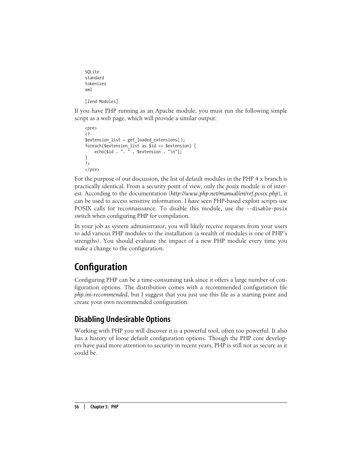```
SQLite
standard
tokenizer
xml
```
[Zend Modules]

If you have PHP running as an Apache module, you must run the following simple script as a web page, which will provide a similar output:

```
<pre>
<?
$extension list = get loaded extensions();
foreach($extension_list as $id => $extension) {
    echo($id . ". \overline{ } . $extension . "\n");
}
?>
</pre>
```
For the purpose of our discussion, the list of default modules in the PHP 4.x branch is practically identical. From a security point of view, only the *posix* module is of interest. According to the documentation (*http://www.php.net/manual/en/ref.posix.php*), it can be used to access sensitive information. I *have* seen PHP-based exploit scripts use POSIX calls for reconnaissance. To disable this module, use the --disable-posix switch when configuring PHP for compilation.

In your job as system administrator, you will likely receive requests from your users to add various PHP modules to the installation (a wealth of modules is one of PHP's strengths). You should evaluate the impact of a new PHP module every time you make a change to the configuration.

# **Configuration**

Configuring PHP can be a time-consuming task since it offers a large number of configuration options. The distribution comes with a recommended configuration file *php.ini-recommended*, but I suggest that you just use this file as a starting point and create your own recommended configuration.

## **Disabling Undesirable Options**

Working with PHP you will discover it is a powerful tool, often too powerful. It also has a history of loose default configuration options. Though the PHP core developers have paid more attention to security in recent years, PHP is still not as secure as it could be.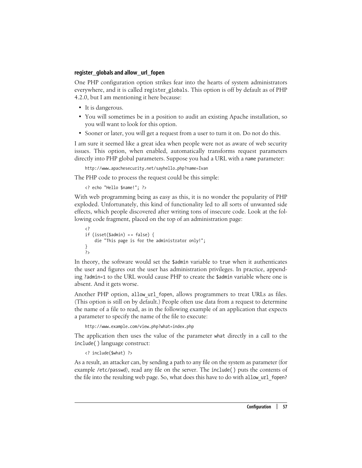#### **register\_globals and allow\_url\_fopen**

One PHP configuration option strikes fear into the hearts of system administrators everywhere, and it is called register\_globals. This option is off by default as of PHP 4.2.0, but I am mentioning it here because:

- It is dangerous.
- You will sometimes be in a position to audit an existing Apache installation, so you will want to look for this option.
- Sooner or later, you will get a request from a user to turn it on. Do not do this.

I am sure it seemed like a great idea when people were not as aware of web security issues. This option, when enabled, automatically transforms request parameters directly into PHP global parameters. Suppose you had a URL with a name parameter:

```
http://www.apachesecurity.net/sayhello.php?name=Ivan
```
The PHP code to process the request could be this simple:

<? echo "Hello \$name!"; ?>

With web programming being as easy as this, it is no wonder the popularity of PHP exploded. Unfortunately, this kind of functionality led to all sorts of unwanted side effects, which people discovered after writing tons of insecure code. Look at the following code fragment, placed on the top of an administration page:

```
<?
if (isset($admin) == false) {
     die "This page is for the administrator only!";
}
?>
```
In theory, the software would set the \$admin variable to true when it authenticates the user and figures out the user has administration privileges. In practice, appending ?admin=1 to the URL would cause PHP to create the \$admin variable where one is absent. And it gets worse.

Another PHP option, allow url fopen, allows programmers to treat URLs as files. (This option is still on by default.) People often use data from a request to determine the name of a file to read, as in the following example of an application that expects a parameter to specify the name of the file to execute:

```
http://www.example.com/view.php?what=index.php
```
The application then uses the value of the parameter what directly in a call to the include( ) language construct:

```
<? include($what) ?>
```
As a result, an attacker can, by sending a path to any file on the system as parameter (for example /etc/passwd), read any file on the server. The include( ) puts the contents of the file into the resulting web page. So, what does this have to do with allow url fopen?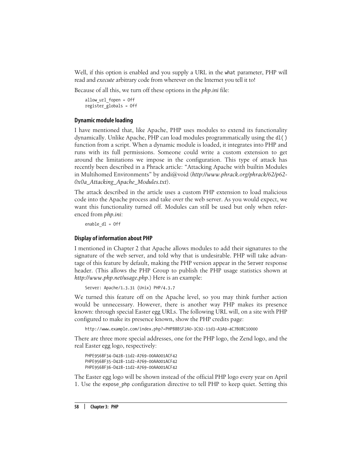Well, if this option is enabled and you supply a URL in the what parameter, PHP will read and *execute* arbitrary code from wherever on the Internet you tell it to!

Because of all this, we turn off these options in the *php.ini* file:

```
allow url fopen = Off
register_globals = Off
```
#### **Dynamic module loading**

I have mentioned that, like Apache, PHP uses modules to extend its functionality dynamically. Unlike Apache, PHP can load modules programmatically using the dl( ) function from a script. When a dynamic module is loaded, it integrates into PHP and runs with its full permissions. Someone could write a custom extension to get around the limitations we impose in the configuration. This type of attack has recently been described in a Phrack article: "Attacking Apache with builtin Modules in Multihomed Environments" by andi@void (*http://www.phrack.org/phrack/62/p62- 0x0a\_Attacking\_Apache\_Modules.txt*).

The attack described in the article uses a custom PHP extension to load malicious code into the Apache process and take over the web server. As you would expect, we want this functionality turned off. Modules can still be used but only when referenced from *php.ini*:

enable\_dl = Off

#### **Display of information about PHP**

I mentioned in Chapter 2 that Apache allows modules to add their signatures to the signature of the web server, and told why that is undesirable. PHP will take advantage of this feature by default, making the PHP version appear in the Server response header. (This allows the PHP Group to publish the PHP usage statistics shown at *http://www.php.net/usage.php*.) Here is an example:

```
Server: Apache/1.3.31 (Unix) PHP/4.3.7
```
We turned this feature off on the Apache level, so you may think further action would be unnecessary. However, there is another way PHP makes its presence known: through special Easter egg URLs. The following URL will, on a site with PHP configured to make its presence known, show the PHP credits page:

http://www.example.com/index.php?=PHPB8B5F2A0-3C92-11d3-A3A9-4C7B08C10000

There are three more special addresses, one for the PHP logo, the Zend logo, and the real Easter egg logo, respectively:

PHPE9568F34-D428-11d2-A769-00AA001ACF42 PHPE9568F35-D428-11d2-A769-00AA001ACF42 PHPE9568F36-D428-11d2-A769-00AA001ACF42

The Easter egg logo will be shown instead of the official PHP logo every year on April 1. Use the expose php configuration directive to tell PHP to keep quiet. Setting this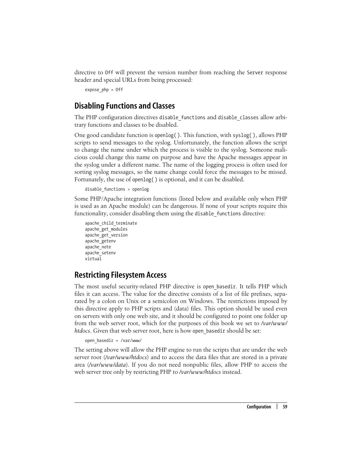directive to Off will prevent the version number from reaching the Server response header and special URLs from being processed:

expose\_php = Off

#### **Disabling Functions and Classes**

The PHP configuration directives disable functions and disable classes allow arbitrary functions and classes to be disabled.

One good candidate function is openlog( ). This function, with syslog( ), allows PHP scripts to send messages to the syslog. Unfortunately, the function allows the script to change the name under which the process is visible to the syslog. Someone malicious could change this name on purpose and have the Apache messages appear in the syslog under a different name. The name of the logging process is often used for sorting syslog messages, so the name change could force the messages to be missed. Fortunately, the use of openlog( ) is optional, and it can be disabled.

disable\_functions = openlog

Some PHP/Apache integration functions (listed below and available only when PHP is used as an Apache module) can be dangerous. If none of your scripts require this functionality, consider disabling them using the disable\_functions directive:

```
apache child terminate
apache_get_modules
apache get version
apache_getenv
apache_note
apache_setenv
virtual
```
### **Restricting Filesystem Access**

The most useful security-related PHP directive is open\_basedir. It tells PHP which files it can access. The value for the directive consists of a list of file prefixes, separated by a colon on Unix or a semicolon on Windows. The restrictions imposed by this directive apply to PHP scripts and (data) files. This option should be used even on servers with only one web site, and it should be configured to point one folder up from the web server root, which for the purposes of this book we set to */var/www/ htdocs*. Given that web server root, here is how open\_basedir should be set:

open\_basedir = /var/www/

The setting above will allow the PHP engine to run the scripts that are under the web server root (*/var/www/htdocs*) and to access the data files that are stored in a private area (*/var/www/data*). If you do not need nonpublic files, allow PHP to access the web server tree only by restricting PHP to */var/www/htdocs* instead.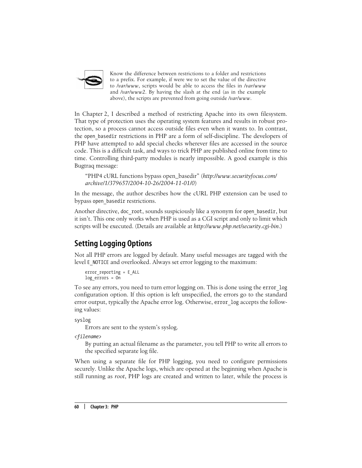

Know the difference between restrictions to a folder and restrictions to a prefix. For example, if were we to set the value of the directive to */var/www*, scripts would be able to access the files in */var/www* and */var/www2*. By having the slash at the end (as in the example above), the scripts are prevented from going outside */var/www*.

In Chapter 2, I described a method of restricting Apache into its own filesystem. That type of protection uses the operating system features and results in robust protection, so a process cannot access outside files even when it wants to. In contrast, the open\_basedir restrictions in PHP are a form of self-discipline. The developers of PHP have attempted to add special checks wherever files are accessed in the source code. This is a difficult task, and ways to trick PHP are published online from time to time. Controlling third-party modules is nearly impossible. A good example is this Bugtraq message:

```
"PHP4 cURL functions bypass open_basedir" (http://www.securityfocus.com/
archive/1/379657/2004-10-26/2004-11-01/0)
```
In the message, the author describes how the cURL PHP extension can be used to bypass open\_basedir restrictions.

Another directive, doc root, sounds suspiciously like a synonym for open basedir, but it isn't. This one only works when PHP is used as a CGI script and only to limit which scripts will be executed. (Details are available at *http://www.php.net/security.cgi-bin*.)

### **Setting Logging Options**

Not all PHP errors are logged by default. Many useful messages are tagged with the level E\_NOTICE and overlooked. Always set error logging to the maximum:

```
error reporting = E ALL
log_errors = On
```
To see any errors, you need to turn error logging on. This is done using the error\_log configuration option. If this option is left unspecified, the errors go to the standard error output, typically the Apache error log. Otherwise, error\_log accepts the following values:

```
syslog
```
Errors are sent to the system's syslog.

*<filename>*

By putting an actual filename as the parameter, you tell PHP to write all errors to the specified separate log file.

When using a separate file for PHP logging, you need to configure permissions securely. Unlike the Apache logs, which are opened at the beginning when Apache is still running as *root*, PHP logs are created and written to later, while the process is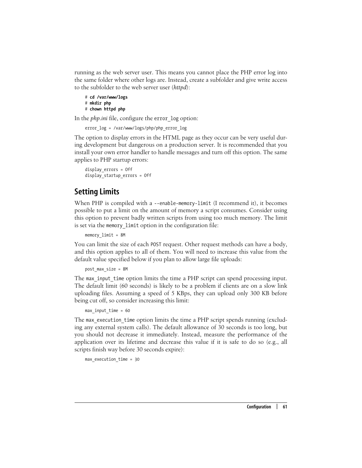running as the web server user. This means you cannot place the PHP error log into the same folder where other logs are. Instead, create a subfolder and give write access to the subfolder to the web server user (*httpd*):

```
# cd /var/www/logs
# mkdir php
# chown httpd php
```
In the *php.ini* file, configure the error log option:

error log = /var/www/logs/php/php error log

The option to display errors in the HTML page as they occur can be very useful during development but dangerous on a production server. It is recommended that you install your own error handler to handle messages and turn off this option. The same applies to PHP startup errors:

```
display_errors = Off
display_startup_errors = Off
```
### **Setting Limits**

When PHP is compiled with a --enable-memory-limit (I recommend it), it becomes possible to put a limit on the amount of memory a script consumes. Consider using this option to prevent badly written scripts from using too much memory. The limit is set via the memory\_limit option in the configuration file:

memory\_limit = 8M

You can limit the size of each POST request. Other request methods can have a body, and this option applies to all of them. You will need to increase this value from the default value specified below if you plan to allow large file uploads:

post\_max\_size = 8M

The max\_input\_time option limits the time a PHP script can spend processing input. The default limit (60 seconds) is likely to be a problem if clients are on a slow link uploading files. Assuming a speed of 5 KBps, they can upload only 300 KB before being cut off, so consider increasing this limit:

```
max input time = 60
```
The max execution time option limits the time a PHP script spends running (excluding any external system calls). The default allowance of 30 seconds is too long, but you should not decrease it immediately. Instead, measure the performance of the application over its lifetime and decrease this value if it is safe to do so (e.g., all scripts finish way before 30 seconds expire):

max\_execution\_time = 30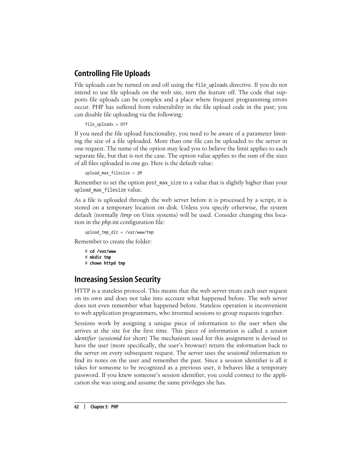#### **Controlling File Uploads**

File uploads can be turned on and off using the file uploads directive. If you do not intend to use file uploads on the web site, turn the feature off. The code that supports file uploads can be complex and a place where frequent programming errors occur. PHP has suffered from vulnerability in the file upload code in the past; you can disable file uploading via the following:

```
file uploads = Off
```
If you need the file upload functionality, you need to be aware of a parameter limiting the size of a file uploaded. More than one file can be uploaded to the server in one request. The name of the option may lead you to believe the limit applies to each separate file, but that is not the case. The option value applies to the sum of the sizes of all files uploaded in one go. Here is the default value:

upload\_max\_filesize = 2M

Remember to set the option post max size to a value that is slightly higher than your upload\_max\_filesize value.

As a file is uploaded through the web server before it is processed by a script, it is stored on a temporary location on disk. Unless you specify otherwise, the system default (normally */tmp* on Unix systems) will be used. Consider changing this location in the *php.ini* configuration file:

upload tmp  $dir = /var/www/tmp$ 

Remember to create the folder:

```
# cd /var/www
# mkdir tmp
# chown httpd tmp
```
### **Increasing Session Security**

HTTP is a stateless protocol. This means that the web server treats each user request on its own and does not take into account what happened before. The web server does not even remember what happened before. Stateless operation is inconvenient to web application programmers, who invented sessions to group requests together.

Sessions work by assigning a unique piece of information to the user when she arrives at the site for the first time. This piece of information is called a *session identifier* (*sessionid* for short) The mechanism used for this assignment is devised to have the user (more specifically, the user's browser) return the information back to the server on every subsequent request. The server uses the *sessionid* information to find its notes on the user and remember the past. Since a session identifier is all it takes for someone to be recognized as a previous user, it behaves like a temporary password. If you knew someone's session identifier, you could connect to the application she was using and assume the same privileges she has.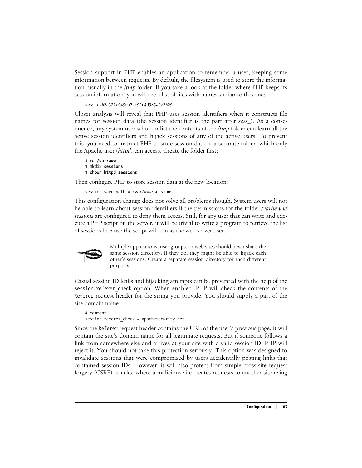Session support in PHP enables an application to remember a user, keeping some information between requests. By default, the filesystem is used to store the information, usually in the */tmp* folder. If you take a look at the folder where PHP keeps its session information, you will see a list of files with names similar to this one:

```
sess_ed62a322c949ea7cf92c4d985a9e2629
```
Closer analysis will reveal that PHP uses session identifiers when it constructs file names for session data (the session identifier is the part after *sess\_*). As a consequence, any system user who can list the contents of the */tmp* folder can learn all the active session identifiers and hijack sessions of any of the active users. To prevent this, you need to instruct PHP to store session data in a separate folder, which only the Apache user (*httpd*) can access. Create the folder first:

```
# cd /var/www
# mkdir sessions
# chown httpd sessions
```
Then configure PHP to store session data at the new location:

```
session.save_path = /var/www/sessions
```
This configuration change does not solve all problems though. System users will not be able to learn about session identifiers if the permissions for the folder */var/www/ sessions* are configured to deny them access. Still, for any user that can write and execute a PHP script on the server, it will be trivial to write a program to retrieve the list of sessions because the script will run as the web server user.



Multiple applications, user groups, or web sites should never share the same session directory. If they do, they might be able to hijack each other's sessions. Create a separate session directory for each different purpose.

Casual session ID leaks and hijacking attempts can be prevented with the help of the session.referer check option. When enabled, PHP will check the contents of the Referer request header for the string you provide. You should supply a part of the site domain name:

```
# comment
session.referer check = apachesecurity.net
```
Since the Referer request header contains the URL of the user's previous page, it will contain the site's domain name for all legitimate requests. But if someone follows a link from somewhere else and arrives at your site with a valid session ID, PHP will reject it. You should not take this protection seriously. This option was designed to invalidate sessions that were compromised by users accidentally posting links that contained session IDs. However, it will also protect from simple cross-site request forgery (CSRF) attacks, where a malicious site creates requests to another site using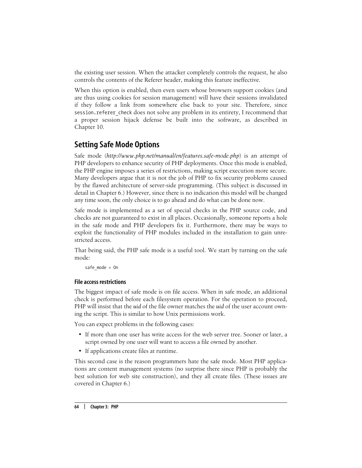the existing user session. When the attacker completely controls the request, he also controls the contents of the Referer header, making this feature ineffective.

When this option is enabled, then even users whose browsers support cookies (and are thus using cookies for session management) will have their sessions invalidated if they follow a link from somewhere else back to your site. Therefore, since session.referer check does not solve any problem in its entirety, I recommend that a proper session hijack defense be built into the software, as described in Chapter 10.

#### **Setting Safe Mode Options**

Safe mode (*http://www.php.net/manual/en/features.safe-mode.php*) is an attempt of PHP developers to enhance security of PHP deployments. Once this mode is enabled, the PHP engine imposes a series of restrictions, making script execution more secure. Many developers argue that it is not the job of PHP to fix security problems caused by the flawed architecture of server-side programming. (This subject is discussed in detail in Chapter 6.) However, since there is no indication this model will be changed any time soon, the only choice is to go ahead and do what can be done now.

Safe mode is implemented as a set of special checks in the PHP source code, and checks are not guaranteed to exist in all places. Occasionally, someone reports a hole in the safe mode and PHP developers fix it. Furthermore, there may be ways to exploit the functionality of PHP modules included in the installation to gain unrestricted access.

That being said, the PHP safe mode is a useful tool. We start by turning on the safe mode:

safe\_mode = On

#### **File access restrictions**

The biggest impact of safe mode is on file access. When in safe mode, an additional check is performed before each filesystem operation. For the operation to proceed, PHP will insist that the *uid* of the file owner matches the *uid* of the user account owning the script. This is similar to how Unix permissions work.

You can expect problems in the following cases:

- If more than one user has write access for the web server tree. Sooner or later, a script owned by one user will want to access a file owned by another.
- If applications create files at runtime.

This second case is the reason programmers hate the safe mode. Most PHP applications are content management systems (no surprise there since PHP is probably the best solution for web site construction), and they all create files. (These issues are covered in Chapter 6.)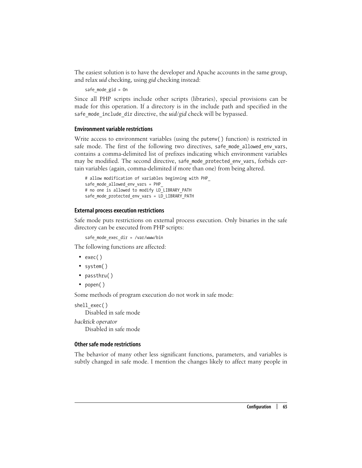The easiest solution is to have the developer and Apache accounts in the same group, and relax *uid* checking, using *gid* checking instead:

safe mode gid = On

Since all PHP scripts include other scripts (libraries), special provisions can be made for this operation. If a directory is in the include path and specified in the safe\_mode\_include\_dir directive, the *uid*/*gid* check will be bypassed.

#### **Environment variable restrictions**

Write access to environment variables (using the putenv( ) function) is restricted in safe mode. The first of the following two directives, safe\_mode\_allowed\_env\_vars, contains a comma-delimited list of prefixes indicating which environment variables may be modified. The second directive, safe mode protected env vars, forbids certain variables (again, comma-delimited if more than one) from being altered.

```
# allow modification of variables beginning with PHP_
safe mode allowed env vars = PHP
# no one is allowed to modify LD_LIBRARY_PATH
safe mode protected env vars = LD LIBRARY PATH
```
#### **External process execution restrictions**

Safe mode puts restrictions on external process execution. Only binaries in the safe directory can be executed from PHP scripts:

safe mode exec dir = /var/www/bin

The following functions are affected:

- $exec()$
- system( )
- passthru( )
- popen()

Some methods of program execution do not work in safe mode:

shell exec( )

Disabled in safe mode

*backtick operator* Disabled in safe mode

#### **Other safe mode restrictions**

The behavior of many other less significant functions, parameters, and variables is subtly changed in safe mode. I mention the changes likely to affect many people in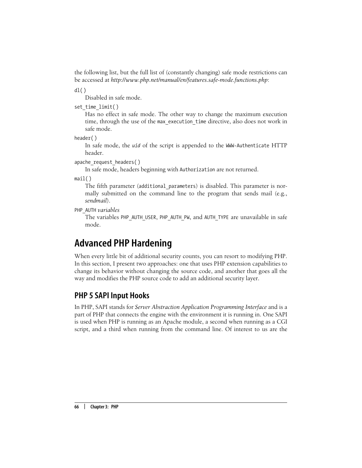the following list, but the full list of (constantly changing) safe mode restrictions can be accessed at *http://www.php.net/manual/en/features.safe-mode.functions.php*:

 $d1()$ 

Disabled in safe mode.

set time limit()

Has no effect in safe mode. The other way to change the maximum execution time, through the use of the max\_execution\_time directive, also does not work in safe mode.

header( )

In safe mode, the *uid* of the script is appended to the WWW-Authenticate HTTP header.

```
apache request headers()
```
In safe mode, headers beginning with Authorization are not returned.

mail( )

The fifth parameter (additional parameters) is disabled. This parameter is normally submitted on the command line to the program that sends mail (e.g., *sendmail*).

PHP\_AUTH *variables*

The variables PHP\_AUTH\_USER, PHP\_AUTH\_PW, and AUTH\_TYPE are unavailable in safe mode.

## **Advanced PHP Hardening**

When every little bit of additional security counts, you can resort to modifying PHP. In this section, I present two approaches: one that uses PHP extension capabilities to change its behavior without changing the source code, and another that goes all the way and modifies the PHP source code to add an additional security layer.

### **PHP 5 SAPI Input Hooks**

In PHP, SAPI stands for *Server Abstraction Application Programming Interface* and is a part of PHP that connects the engine with the environment it is running in. One SAPI is used when PHP is running as an Apache module, a second when running as a CGI script, and a third when running from the command line. Of interest to us are the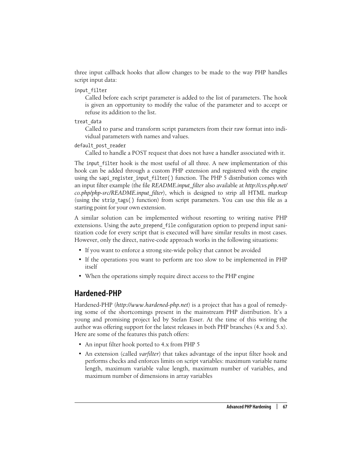three input callback hooks that allow changes to be made to the way PHP handles script input data:

input\_filter

Called before each script parameter is added to the list of parameters. The hook is given an opportunity to modify the value of the parameter and to accept or refuse its addition to the list.

treat\_data

Called to parse and transform script parameters from their raw format into individual parameters with names and values.

default\_post\_reader

Called to handle a POST request that does not have a handler associated with it.

The input filter hook is the most useful of all three. A new implementation of this hook can be added through a custom PHP extension and registered with the engine using the sapi register input filter() function. The PHP 5 distribution comes with an input filter example (the file *README.input\_filter* also available at *http://cvs.php.net/ co.php/php-src/README.input\_filter*), which is designed to strip all HTML markup (using the strip\_tags( ) function) from script parameters. You can use this file as a starting point for your own extension.

A similar solution can be implemented without resorting to writing native PHP extensions. Using the auto prepend file configuration option to prepend input sanitization code for every script that is executed will have similar results in most cases. However, only the direct, native-code approach works in the following situations:

- If you want to enforce a strong site-wide policy that cannot be avoided
- If the operations you want to perform are too slow to be implemented in PHP itself
- When the operations simply require direct access to the PHP engine

#### **Hardened-PHP**

Hardened-PHP (*http://www.hardened-php.net*) is a project that has a goal of remedying some of the shortcomings present in the mainstream PHP distribution. It's a young and promising project led by Stefan Esser. At the time of this writing the author was offering support for the latest releases in both PHP branches (4.x and 5.x). Here are some of the features this patch offers:

- An input filter hook ported to 4.x from PHP 5
- An extension (called *varfilter*) that takes advantage of the input filter hook and performs checks and enforces limits on script variables: maximum variable name length, maximum variable value length, maximum number of variables, and maximum number of dimensions in array variables